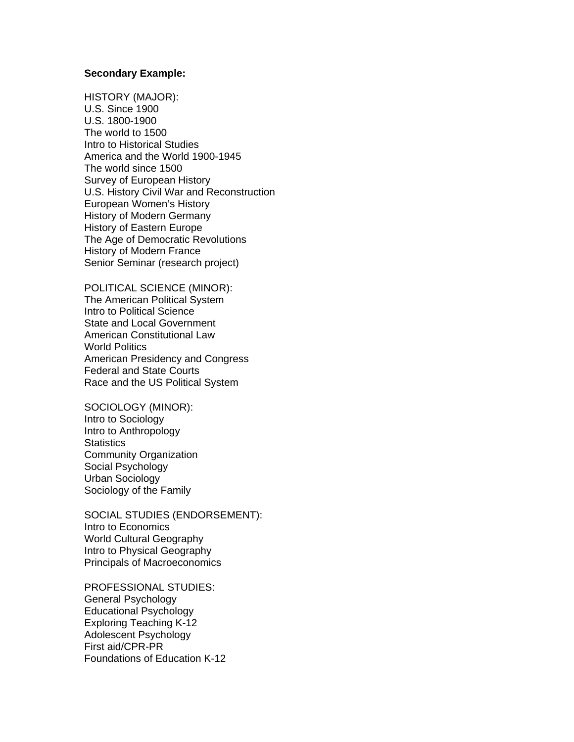## **Secondary Example:**

HISTORY (MAJOR): U.S. Since 1900 U.S. 1800-1900 The world to 1500 Intro to Historical Studies America and the World 1900-1945 The world since 1500 Survey of European History U.S. History Civil War and Reconstruction European Women's History History of Modern Germany History of Eastern Europe The Age of Democratic Revolutions History of Modern France Senior Seminar (research project)

POLITICAL SCIENCE (MINOR): The American Political System Intro to Political Science State and Local Government American Constitutional Law World Politics American Presidency and Congress Federal and State Courts Race and the US Political System

SOCIOLOGY (MINOR): Intro to Sociology Intro to Anthropology **Statistics** Community Organization Social Psychology Urban Sociology Sociology of the Family

SOCIAL STUDIES (ENDORSEMENT): Intro to Economics World Cultural Geography Intro to Physical Geography Principals of Macroeconomics

PROFESSIONAL STUDIES: General Psychology Educational Psychology Exploring Teaching K-12 Adolescent Psychology First aid/CPR-PR Foundations of Education K-12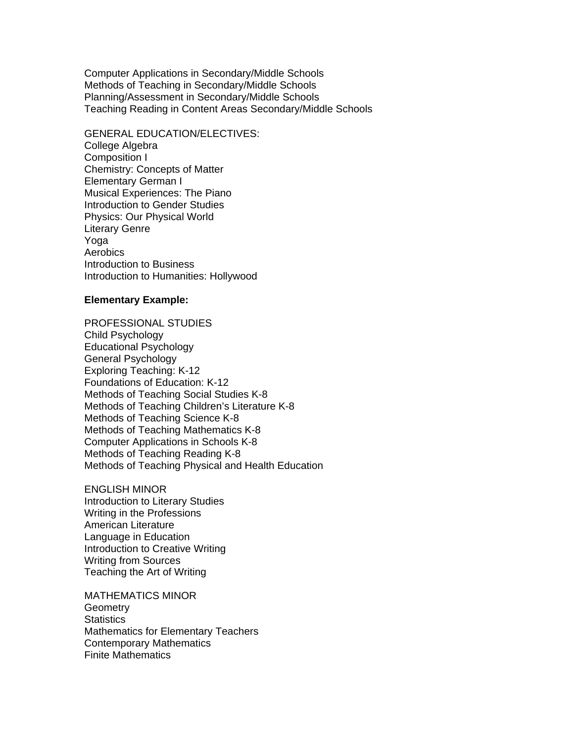Computer Applications in Secondary/Middle Schools Methods of Teaching in Secondary/Middle Schools Planning/Assessment in Secondary/Middle Schools Teaching Reading in Content Areas Secondary/Middle Schools

GENERAL EDUCATION/ELECTIVES: College Algebra Composition I Chemistry: Concepts of Matter Elementary German I Musical Experiences: The Piano Introduction to Gender Studies Physics: Our Physical World Literary Genre Yoga **Aerobics** Introduction to Business Introduction to Humanities: Hollywood

## **Elementary Example:**

PROFESSIONAL STUDIES Child Psychology Educational Psychology General Psychology Exploring Teaching: K-12 Foundations of Education: K-12 Methods of Teaching Social Studies K-8 Methods of Teaching Children's Literature K-8 Methods of Teaching Science K-8 Methods of Teaching Mathematics K-8 Computer Applications in Schools K-8 Methods of Teaching Reading K-8 Methods of Teaching Physical and Health Education

ENGLISH MINOR Introduction to Literary Studies Writing in the Professions American Literature Language in Education Introduction to Creative Writing Writing from Sources Teaching the Art of Writing

MATHEMATICS MINOR **Geometry Statistics** Mathematics for Elementary Teachers Contemporary Mathematics Finite Mathematics